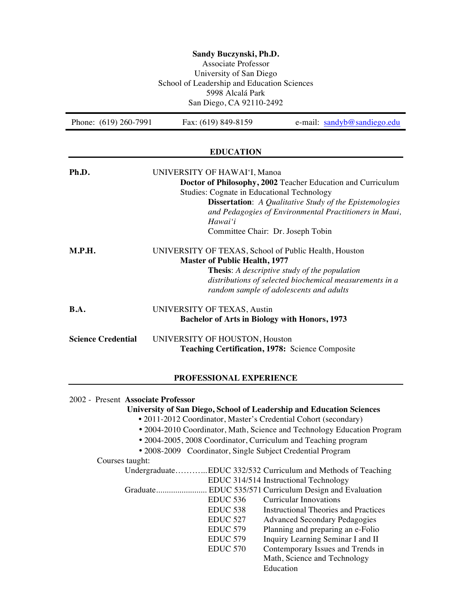| Sandy Buczynski, Ph.D.<br>Associate Professor<br>University of San Diego<br>School of Leadership and Education Sciences<br>5998 Alcalá Park<br>San Diego, CA 92110-2492 |                                                                                                                                                                                           |                                                                                                                                                                                         |
|-------------------------------------------------------------------------------------------------------------------------------------------------------------------------|-------------------------------------------------------------------------------------------------------------------------------------------------------------------------------------------|-----------------------------------------------------------------------------------------------------------------------------------------------------------------------------------------|
| Phone: (619) 260-7991                                                                                                                                                   | Fax: (619) 849-8159                                                                                                                                                                       | e-mail: sandyb@sandiego.edu                                                                                                                                                             |
|                                                                                                                                                                         | <b>EDUCATION</b>                                                                                                                                                                          |                                                                                                                                                                                         |
| Ph.D.                                                                                                                                                                   | UNIVERSITY OF HAWAI'I, Manoa<br>Studies: Cognate in Educational Technology<br>Hawai'i<br>Committee Chair: Dr. Joseph Tobin                                                                | Doctor of Philosophy, 2002 Teacher Education and Curriculum<br><b>Dissertation:</b> A Qualitative Study of the Epistemologies<br>and Pedagogies of Environmental Practitioners in Maui, |
| M.P.H.                                                                                                                                                                  | UNIVERSITY OF TEXAS, School of Public Health, Houston<br><b>Master of Public Health, 1977</b><br>Thesis: A descriptive study of the population<br>random sample of adolescents and adults | distributions of selected biochemical measurements in a                                                                                                                                 |
| B.A.                                                                                                                                                                    | UNIVERSITY OF TEXAS, Austin<br><b>Bachelor of Arts in Biology with Honors, 1973</b>                                                                                                       |                                                                                                                                                                                         |
| <b>Science Credential</b>                                                                                                                                               | UNIVERSITY OF HOUSTON, Houston<br>Teaching Certification, 1978: Science Composite                                                                                                         |                                                                                                                                                                                         |
|                                                                                                                                                                         | PROFESSIONAL EXPERIENCE                                                                                                                                                                   |                                                                                                                                                                                         |
| 2002 - Present Associate Professor                                                                                                                                      |                                                                                                                                                                                           |                                                                                                                                                                                         |

# **University of San Diego, School of Leadership and Education Sciences**

- 2011-2012 Coordinator, Master's Credential Cohort (secondary)
- 2004-2010 Coordinator, Math, Science and Technology Education Program
- 2004-2005, 2008 Coordinator, Curriculum and Teaching program

• 2008-2009 Coordinator, Single Subject Credential Program

Courses taught:

| s augus  |                     |                                                              |
|----------|---------------------|--------------------------------------------------------------|
|          |                     | UndergraduateEDUC 332/532 Curriculum and Methods of Teaching |
|          |                     | EDUC 314/514 Instructional Technology                        |
| Graduate |                     | EDUC 535/571 Curriculum Design and Evaluation                |
|          | EDUC 536            | <b>Curricular Innovations</b>                                |
|          | EDUC 538            | Instructional Theories and Practices                         |
|          | EDUC <sub>527</sub> | <b>Advanced Secondary Pedagogies</b>                         |
|          | <b>EDUC 579</b>     | Planning and preparing an e-Folio                            |
|          | EDUC <sub>579</sub> | Inquiry Learning Seminar I and II                            |
|          | EDUC <sub>570</sub> | Contemporary Issues and Trends in                            |
|          |                     | Math, Science and Technology                                 |
|          |                     | Education                                                    |
|          |                     |                                                              |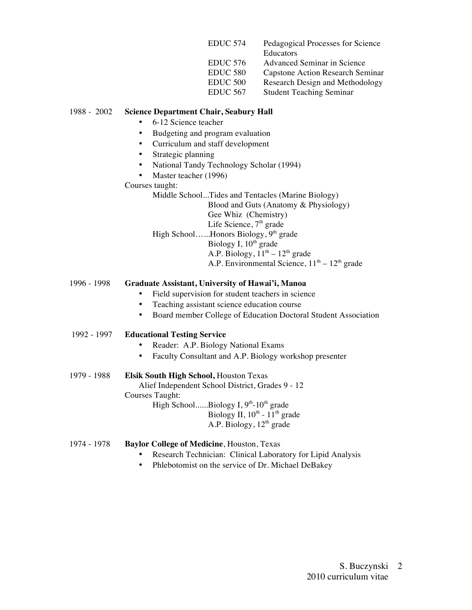| EDUC <sub>574</sub> | Pedagogical Processes for Science       |
|---------------------|-----------------------------------------|
|                     | Educators                               |
| <b>EDUC 576</b>     | Advanced Seminar in Science             |
| EDUC <sub>580</sub> | <b>Capstone Action Research Seminar</b> |
| EDUC <sub>500</sub> | Research Design and Methodology         |
| <b>EDUC 567</b>     | <b>Student Teaching Seminar</b>         |
|                     |                                         |

## 1988 - 2002 **Science Department Chair, Seabury Hall**

- 6-12 Science teacher
- Budgeting and program evaluation
- Curriculum and staff development
- Strategic planning
- National Tandy Technology Scholar (1994)
- Master teacher (1996)

## Courses taught:

Middle School...Tides and Tentacles (Marine Biology) Blood and Guts (Anatomy & Physiology) Gee Whiz (Chemistry) Life Science,  $7<sup>th</sup>$  grade High School......Honors Biology,  $9<sup>th</sup>$  grade Biology I, 10<sup>th</sup> grade A.P. Biology,  $11<sup>th</sup> - 12<sup>th</sup>$  grade A.P. Environmental Science,  $11<sup>th</sup> - 12<sup>th</sup>$  grade

1996 - 1998 **Graduate Assistant, University of Hawai'i, Manoa**

- Field supervision for student teachers in science
- Teaching assistant science education course
- Board member College of Education Doctoral Student Association

# 1992 - 1997 **Educational Testing Service**

- Reader: A.P. Biology National Exams
- Faculty Consultant and A.P. Biology workshop presenter

# 1979 - 1988 **Elsik South High School,** Houston Texas

Alief Independent School District, Grades 9 - 12

Courses Taught:

High School......Biology I, 9<sup>th</sup>-10<sup>th</sup> grade Biology II,  $10^{th}$  -  $11^{th}$  grade

A.P. Biology,  $12<sup>th</sup>$  grade

- 1974 1978 **Baylor College of Medicine**, Houston, Texas
	- Research Technician: Clinical Laboratory for Lipid Analysis
		- Phlebotomist on the service of Dr. Michael DeBakey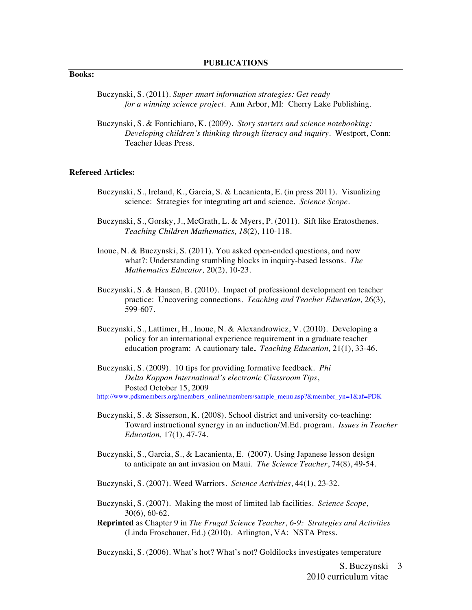## **Books:**

- Buczynski, S. (2011). *Super smart information strategies: Get ready for a winning science project.* Ann Arbor, MI: Cherry Lake Publishing.
- Buczynski, S. & Fontichiaro, K. (2009). *Story starters and science notebooking: Developing children's thinking through literacy and inquiry*. Westport, Conn: Teacher Ideas Press.

#### **Refereed Articles:**

- Buczynski, S., Ireland, K., Garcia, S. & Lacanienta, E. (in press 2011). Visualizing science: Strategies for integrating art and science. *Science Scope*.
- Buczynski, S., Gorsky, J., McGrath, L. & Myers, P. (2011). Sift like Eratosthenes. *Teaching Children Mathematics, 18*(2), 110-118.
- Inoue, N. & Buczynski, S. (2011). You asked open-ended questions, and now what?: Understanding stumbling blocks in inquiry-based lessons. *The Mathematics Educator,* 20(2), 10-23*.*
- Buczynski, S. & Hansen, B. (2010). Impact of professional development on teacher practice: Uncovering connections. *Teaching and Teacher Education,* 26(3), 599-607.
- Buczynski, S., Lattimer, H., Inoue, N. & Alexandrowicz, V. (2010). Developing a policy for an international experience requirement in a graduate teacher education program: A cautionary tale**.** *Teaching Education,* 21(1), 33-46.
- Buczynski, S. (2009). 10 tips for providing formative feedback. *Phi Delta Kappan International's electronic Classroom Tips*, Posted October 15, 2009

http://www.pdkmembers.org/members\_online/members/sample\_menu.asp?&member\_yn=1&af=PDK

- Buczynski, S. & Sisserson, K. (2008). School district and university co-teaching: Toward instructional synergy in an induction/M.Ed. program. *Issues in Teacher Education,* 17(1), 47-74.
- Buczynski, S., Garcia, S., & Lacanienta, E. (2007). Using Japanese lesson design to anticipate an ant invasion on Maui. *The Science Teacher*, 74(8), 49-54.
- Buczynski, S. (2007). Weed Warriors. *Science Activities*, 44(1), 23-32.
- Buczynski, S. (2007). Making the most of limited lab facilities. *Science Scope,*  30(6), 60-62.
- **Reprinted** as Chapter 9 in *The Frugal Science Teacher, 6-9: Strategies and Activities* (Linda Froschauer, Ed.) (2010). Arlington, VA: NSTA Press.

Buczynski, S. (2006). What's hot? What's not? Goldilocks investigates temperature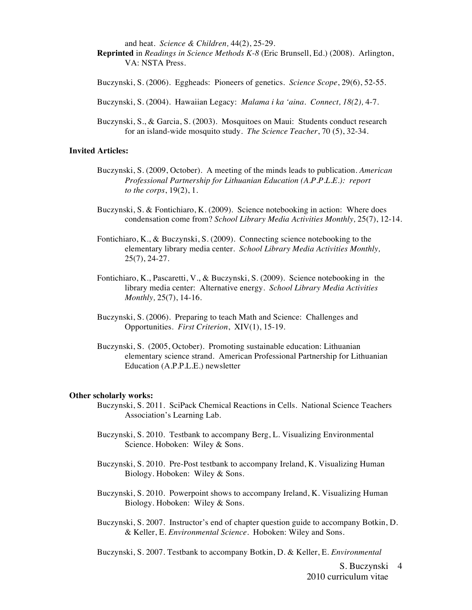and heat. *Science & Children,* 44(2), 25-29*.*

**Reprinted** in *Readings in Science Methods K-8* (Eric Brunsell, Ed.) (2008). Arlington, VA: NSTA Press.

Buczynski, S. (2006). Eggheads: Pioneers of genetics. *Science Scope*, 29(6), 52-55.

Buczynski, S. (2004). Hawaiian Legacy: *Malama i ka 'aina. Connect, 18(2),* 4-7.

Buczynski, S., & Garcia, S. (2003). Mosquitoes on Maui: Students conduct research for an island-wide mosquito study. *The Science Teacher*, 70 (5), 32-34.

## **Invited Articles:**

- Buczynski, S. (2009, October). A meeting of the minds leads to publication. *American Professional Partnership for Lithuanian Education (A.P.P.L.E.): report to the corps*, 19(2), 1.
- Buczynski, S. & Fontichiaro, K. (2009). Science notebooking in action: Where does condensation come from? *School Library Media Activities Monthly,* 25(7), 12-14.

Fontichiaro, K., & Buczynski, S. (2009). Connecting science notebooking to the elementary library media center. *School Library Media Activities Monthly,*  25(7), 24-27.

- Fontichiaro, K., Pascaretti, V., & Buczynski, S. (2009). Science notebooking in the library media center: Alternative energy. *School Library Media Activities Monthly,* 25(7), 14-16.
- Buczynski, S. (2006). Preparing to teach Math and Science: Challenges and Opportunities. *First Criterion*, XIV(1), 15-19.
- Buczynski, S. (2005, October). Promoting sustainable education: Lithuanian elementary science strand. American Professional Partnership for Lithuanian Education (A.P.P.L.E.) newsletter

#### **Other scholarly works:**

- Buczynski, S. 2011. SciPack Chemical Reactions in Cells. National Science Teachers Association's Learning Lab.
- Buczynski, S. 2010. Testbank to accompany Berg, L. Visualizing Environmental Science. Hoboken: Wiley & Sons.
- Buczynski, S. 2010. Pre-Post testbank to accompany Ireland, K. Visualizing Human Biology. Hoboken: Wiley & Sons.
- Buczynski, S. 2010. Powerpoint shows to accompany Ireland, K. Visualizing Human Biology. Hoboken: Wiley & Sons.
- Buczynski, S. 2007. Instructor's end of chapter question guide to accompany Botkin, D. & Keller, E. *Environmental Science*. Hoboken: Wiley and Sons.

Buczynski, S. 2007. Testbank to accompany Botkin, D. & Keller, E. *Environmental* 

S. Buczynski 4 2010 curriculum vitae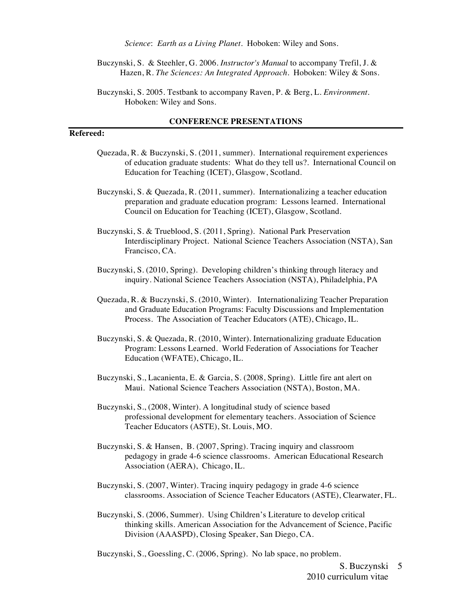*Science*: *Earth as a Living Planet.* Hoboken: Wiley and Sons.

Buczynski, S. & Steehler, G. 2006. *Instructor's Manual* to accompany Trefil, J. & Hazen, R. *The Sciences: An Integrated Approach.* Hoboken: Wiley & Sons.

Buczynski, S. 2005. Testbank to accompany Raven, P. & Berg, L. *Environment.* Hoboken: Wiley and Sons.

#### **CONFERENCE PRESENTATIONS**

## **Refereed:**

- Quezada, R. & Buczynski, S. (2011, summer). International requirement experiences of education graduate students: What do they tell us?. International Council on Education for Teaching (ICET), Glasgow, Scotland.
- Buczynski, S. & Quezada, R. (2011, summer). Internationalizing a teacher education preparation and graduate education program: Lessons learned. International Council on Education for Teaching (ICET), Glasgow, Scotland.
- Buczynski, S. & Trueblood, S. (2011, Spring). National Park Preservation Interdisciplinary Project. National Science Teachers Association (NSTA), San Francisco, CA.
- Buczynski, S. (2010, Spring). Developing children's thinking through literacy and inquiry. National Science Teachers Association (NSTA), Philadelphia, PA
- Quezada, R. & Buczynski, S. (2010, Winter). Internationalizing Teacher Preparation and Graduate Education Programs: Faculty Discussions and Implementation Process. The Association of Teacher Educators (ATE), Chicago, IL.
- Buczynski, S. & Quezada, R. (2010, Winter). Internationalizing graduate Education Program: Lessons Learned. World Federation of Associations for Teacher Education (WFATE), Chicago, IL.
- Buczynski, S., Lacanienta, E. & Garcia, S. (2008, Spring). Little fire ant alert on Maui. National Science Teachers Association (NSTA), Boston, MA.
- Buczynski, S., (2008, Winter). A longitudinal study of science based professional development for elementary teachers. Association of Science Teacher Educators (ASTE), St. Louis, MO.
- Buczynski, S. & Hansen, B. (2007, Spring). Tracing inquiry and classroom pedagogy in grade 4-6 science classrooms. American Educational Research Association (AERA), Chicago, IL.
- Buczynski, S. (2007, Winter). Tracing inquiry pedagogy in grade 4-6 science classrooms. Association of Science Teacher Educators (ASTE), Clearwater, FL.
- Buczynski, S. (2006, Summer). Using Children's Literature to develop critical thinking skills. American Association for the Advancement of Science, Pacific Division (AAASPD), Closing Speaker, San Diego, CA.

Buczynski, S., Goessling, C. (2006, Spring). No lab space, no problem.

S. Buczynski 5 2010 curriculum vitae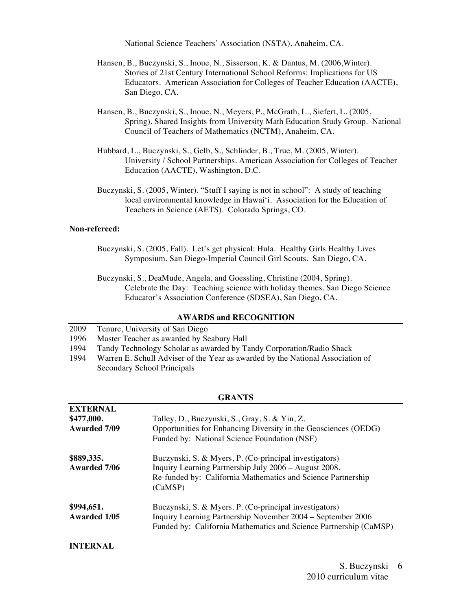National Science Teachers' Association (NSTA), Anaheim, CA.

- Hansen, B., Buczynski, S., Inoue, N., Sisserson, K. & Dantus, M. (2006,Winter). Stories of 21st Century International School Reforms: Implications for US Educators. American Association for Colleges of Teacher Education (AACTE), San Diego, CA.
- Hansen, B., Buczynski, S., Inoue, N., Meyers, P., McGrath, L., Siefert, L. (2005, Spring). Shared Insights from University Math Education Study Group. National Council of Teachers of Mathematics (NCTM), Anaheim, CA.
- Hubbard, L., Buczynski, S., Gelb, S., Schlinder, B., True, M. (2005, Winter). University / School Partnerships. American Association for Colleges of Teacher Education (AACTE), Washington, D.C.
- Buczynski, S. (2005, Winter). "Stuff I saying is not in school": A study of teaching local environmental knowledge in Hawai'i. Association for the Education of Teachers in Science (AETS). Colorado Springs, CO.

## **Non-refereed:**

- Buczynski, S. (2005, Fall). Let's get physical: Hula. Healthy Girls Healthy Lives Symposium, San Diego-Imperial Council Girl Scouts. San Diego, CA.
- Buczynski, S., DeaMude, Angela, and Goessling, Christine (2004, Spring). Celebrate the Day: Teaching science with holiday themes. San Diego Science Educator's Association Conference (SDSEA), San Diego, CA.

### **AWARDS and RECOGNITION**

- 2009 Tenure, University of San Diego
- 1996 Master Teacher as awarded by Seabury Hall
- 1994 Tandy Technology Scholar as awarded by Tandy Corporation/Radio Shack
- 1994 Warren E. Schull Adviser of the Year as awarded by the National Association of Secondary School Principals

| <b>EXTERNAL</b><br>\$477,000.<br><b>Awarded 7/09</b> | Talley, D., Buczynski, S., Gray, S. & Yin, Z.<br>Opportunities for Enhancing Diversity in the Geosciences (OEDG)<br>Funded by: National Science Foundation (NSF)                           |
|------------------------------------------------------|--------------------------------------------------------------------------------------------------------------------------------------------------------------------------------------------|
| \$889,335.<br><b>Awarded 7/06</b>                    | Buczynski, S. & Myers, P. (Co-principal investigators)<br>Inquiry Learning Partnership July 2006 – August 2008.<br>Re-funded by: California Mathematics and Science Partnership<br>(CaMSP) |
| \$994,651.<br><b>Awarded 1/05</b>                    | Buczynski, S. & Myers. P. (Co-principal investigators)<br>Inquiry Learning Partnership November 2004 – September 2006<br>Funded by: California Mathematics and Science Partnership (CaMSP) |
| <b>INTERNAL</b>                                      |                                                                                                                                                                                            |

#### **GRANTS**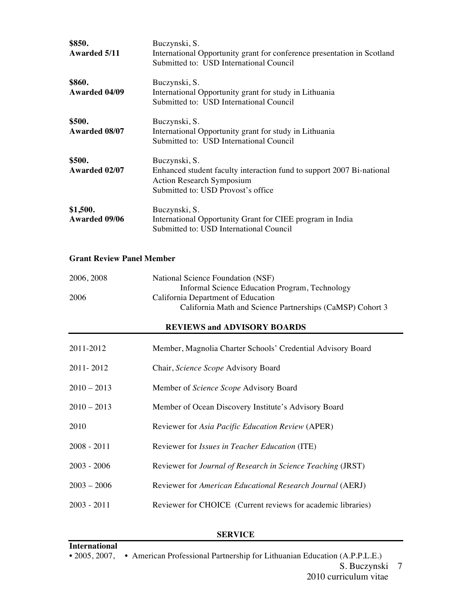| \$850.<br>Awarded 5/11           | Buczynski, S.<br>International Opportunity grant for conference presentation in Scotland<br>Submitted to: USD International Council                              |
|----------------------------------|------------------------------------------------------------------------------------------------------------------------------------------------------------------|
| \$860.<br>Awarded 04/09          | Buczynski, S.<br>International Opportunity grant for study in Lithuania<br>Submitted to: USD International Council                                               |
| \$500.<br>Awarded 08/07          | Buczynski, S.<br>International Opportunity grant for study in Lithuania<br>Submitted to: USD International Council                                               |
| \$500.<br>Awarded 02/07          | Buczynski, S.<br>Enhanced student faculty interaction fund to support 2007 Bi-national<br><b>Action Research Symposium</b><br>Submitted to: USD Provost's office |
| \$1,500.<br><b>Awarded 09/06</b> | Buczynski, S.<br>International Opportunity Grant for CIEE program in India<br>Submitted to: USD International Council                                            |

## **Grant Review Panel Member**

| 2006, 2008 | National Science Foundation (NSF)                         |
|------------|-----------------------------------------------------------|
|            | Informal Science Education Program, Technology            |
| 2006       | California Department of Education                        |
|            | California Math and Science Partnerships (CaMSP) Cohort 3 |
|            |                                                           |

# **REVIEWS and ADVISORY BOARDS**

| 2011-2012     | Member, Magnolia Charter Schools' Credential Advisory Board  |
|---------------|--------------------------------------------------------------|
| 2011-2012     | Chair, Science Scope Advisory Board                          |
| $2010 - 2013$ | Member of Science Scope Advisory Board                       |
| $2010 - 2013$ | Member of Ocean Discovery Institute's Advisory Board         |
| 2010          | Reviewer for Asia Pacific Education Review (APER)            |
| $2008 - 2011$ | Reviewer for <i>Issues in Teacher Education</i> (ITE)        |
| $2003 - 2006$ | Reviewer for Journal of Research in Science Teaching (JRST)  |
| $2003 - 2006$ | Reviewer for American Educational Research Journal (AERJ)    |
| $2003 - 2011$ | Reviewer for CHOICE (Current reviews for academic libraries) |

# **SERVICE**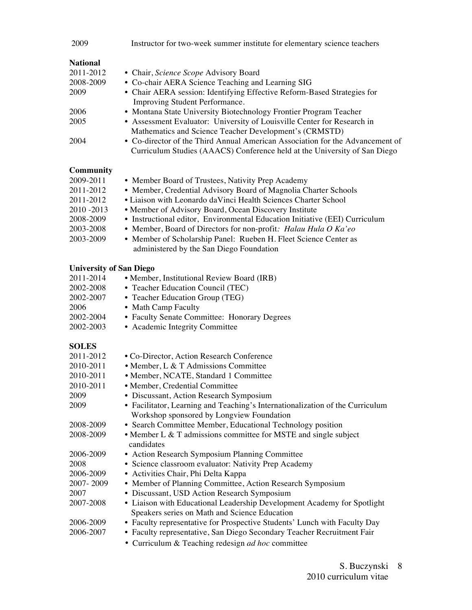| 2009                           | Instructor for two-week summer institute for elementary science teachers                                                                                   |
|--------------------------------|------------------------------------------------------------------------------------------------------------------------------------------------------------|
| <b>National</b>                |                                                                                                                                                            |
| 2011-2012                      | • Chair, Science Scope Advisory Board                                                                                                                      |
| 2008-2009                      | • Co-chair AERA Science Teaching and Learning SIG                                                                                                          |
| 2009                           | • Chair AERA session: Identifying Effective Reform-Based Strategies for<br>Improving Student Performance.                                                  |
| 2006                           | • Montana State University Biotechnology Frontier Program Teacher                                                                                          |
| 2005                           | • Assessment Evaluator: University of Louisville Center for Research in                                                                                    |
|                                | Mathematics and Science Teacher Development's (CRMSTD)                                                                                                     |
| 2004                           | • Co-director of the Third Annual American Association for the Advancement of<br>Curriculum Studies (AAACS) Conference held at the University of San Diego |
| <b>Community</b>               |                                                                                                                                                            |
| 2009-2011                      | • Member Board of Trustees, Nativity Prep Academy                                                                                                          |
| 2011-2012                      | • Member, Credential Advisory Board of Magnolia Charter Schools                                                                                            |
| 2011-2012                      | • Liaison with Leonardo da Vinci Health Sciences Charter School                                                                                            |
| 2010 - 2013                    | • Member of Advisory Board, Ocean Discovery Institute                                                                                                      |
| 2008-2009                      | • Instructional editor, Environmental Education Initiative (EEI) Curriculum                                                                                |
| 2003-2008                      | • Member, Board of Directors for non-profit: Halau Hula O Ka'eo                                                                                            |
| 2003-2009                      | • Member of Scholarship Panel: Rueben H. Fleet Science Center as                                                                                           |
|                                | administered by the San Diego Foundation                                                                                                                   |
| <b>University of San Diego</b> |                                                                                                                                                            |
| 2011-2014                      | • Member, Institutional Review Board (IRB)                                                                                                                 |
| 2002-2008                      | • Teacher Education Council (TEC)                                                                                                                          |
| 2002-2007                      | • Teacher Education Group (TEG)                                                                                                                            |
| 2006                           | • Math Camp Faculty                                                                                                                                        |
| 2002-2004                      | • Faculty Senate Committee: Honorary Degrees                                                                                                               |
| 2002-2003                      | • Academic Integrity Committee                                                                                                                             |
| <b>SOLES</b>                   |                                                                                                                                                            |
| 2011-2012                      | · Co-Director, Action Research Conference                                                                                                                  |
| 2010-2011                      | • Member, L & T Admissions Committee                                                                                                                       |
| 2010-2011                      | • Member, NCATE, Standard 1 Committee                                                                                                                      |
| 2010-2011                      | · Member, Credential Committee                                                                                                                             |
| 2009                           | • Discussant, Action Research Symposium                                                                                                                    |
| 2009                           | • Facilitator, Learning and Teaching's Internationalization of the Curriculum<br>Workshop sponsored by Longview Foundation                                 |
| 2008-2009                      | • Search Committee Member, Educational Technology position                                                                                                 |
| 2008-2009                      | • Member L & T admissions committee for MSTE and single subject<br>candidates                                                                              |
| 2006-2009                      | • Action Research Symposium Planning Committee                                                                                                             |
| 2008                           | • Science classroom evaluator: Nativity Prep Academy                                                                                                       |
| 2006-2009                      | • Activities Chair, Phi Delta Kappa                                                                                                                        |
| 2007-2009                      | • Member of Planning Committee, Action Research Symposium                                                                                                  |
| 2007                           | • Discussant, USD Action Research Symposium                                                                                                                |
| 2007-2008                      | • Liaison with Educational Leadership Development Academy for Spotlight                                                                                    |
|                                | Speakers series on Math and Science Education                                                                                                              |
| 2006-2009                      | • Faculty representative for Prospective Students' Lunch with Faculty Day                                                                                  |
| 2006-2007                      | • Faculty representative, San Diego Secondary Teacher Recruitment Fair                                                                                     |
|                                | • Curriculum & Teaching redesign ad hoc committee                                                                                                          |